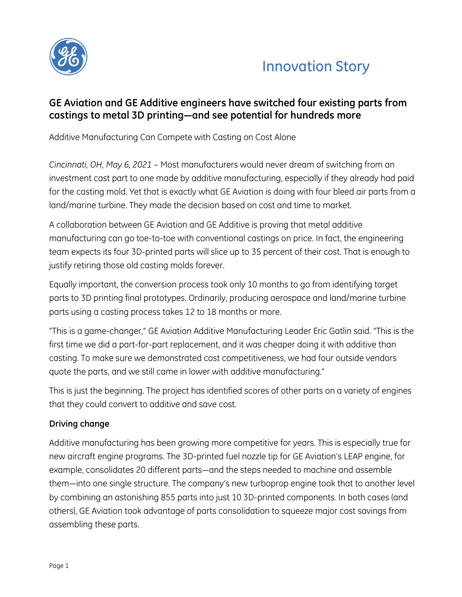



# **GE Aviation and GE Additive engineers have switched four existing parts from castings to metal 3D printing—and see potential for hundreds more**

Additive Manufacturing Can Compete with Casting on Cost Alone

*Cincinnati, OH, May 6, 2021* – Most manufacturers would never dream of switching from an investment cast part to one made by additive manufacturing, especially if they already had paid for the casting mold. Yet that is exactly what GE Aviation is doing with four bleed air parts from a land/marine turbine. They made the decision based on cost and time to market.

A collaboration between GE Aviation and GE Additive is proving that metal additive manufacturing can go toe-to-toe with conventional castings on price. In fact, the engineering team expects its four 3D-printed parts will slice up to 35 percent of their cost. That is enough to justify retiring those old casting molds forever.

Equally important, the conversion process took only 10 months to go from identifying target parts to 3D printing final prototypes. Ordinarily, producing aerospace and land/marine turbine parts using a casting process takes 12 to 18 months or more.

"This is a game-changer," GE Aviation Additive Manufacturing Leader Eric Gatlin said. "This is the first time we did a part-for-part replacement, and it was cheaper doing it with additive than casting. To make sure we demonstrated cost competitiveness, we had four outside vendors quote the parts, and we still came in lower with additive manufacturing."

This is just the beginning. The project has identified scores of other parts on a variety of engines that they could convert to additive and save cost.

### **Driving change**

Additive manufacturing has been growing more competitive for years. This is especially true for new aircraft engine programs. The 3D-printed fuel nozzle tip for GE Aviation's LEAP engine, for example, consolidates 20 different parts—and the steps needed to machine and assemble them—into one single structure. The company's new turboprop engine took that to another level by combining an astonishing 855 parts into just 10 3D-printed components. In both cases (and others), GE Aviation took advantage of parts consolidation to squeeze major cost savings from assembling these parts.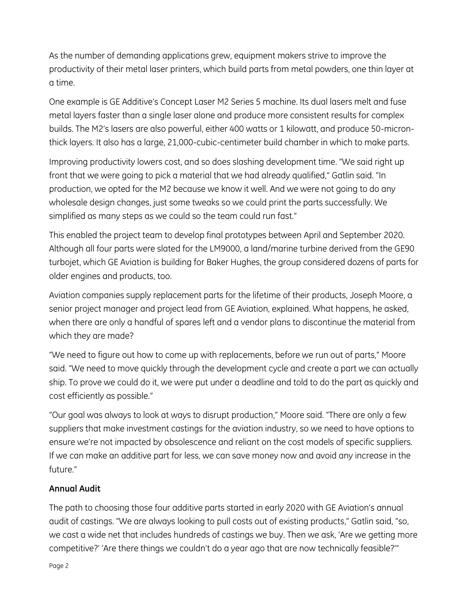As the number of demanding applications grew, equipment makers strive to improve the productivity of their metal laser printers, which build parts from metal powders, one thin layer at a time.

One example is GE Additive's Concept Laser M2 Series 5 machine. Its dual lasers melt and fuse metal layers faster than a single laser alone and produce more consistent results for complex builds. The M2's lasers are also powerful, either 400 watts or 1 kilowatt, and produce 50-micronthick layers. It also has a large, 21,000-cubic-centimeter build chamber in which to make parts.

Improving productivity lowers cost, and so does slashing development time. "We said right up front that we were going to pick a material that we had already qualified," Gatlin said. "In production, we opted for the M2 because we know it well. And we were not going to do any wholesale design changes, just some tweaks so we could print the parts successfully. We simplified as many steps as we could so the team could run fast."

This enabled the project team to develop final prototypes between April and September 2020. Although all four parts were slated for the LM9000, a land/marine turbine derived from the GE90 turbojet, which GE Aviation is building for Baker Hughes, the group considered dozens of parts for older engines and products, too.

Aviation companies supply replacement parts for the lifetime of their products, Joseph Moore, a senior project manager and project lead from GE Aviation, explained. What happens, he asked, when there are only a handful of spares left and a vendor plans to discontinue the material from which they are made?

"We need to figure out how to come up with replacements, before we run out of parts," Moore said. "We need to move quickly through the development cycle and create a part we can actually ship. To prove we could do it, we were put under a deadline and told to do the part as quickly and cost efficiently as possible."

"Our goal was always to look at ways to disrupt production," Moore said. "There are only a few suppliers that make investment castings for the aviation industry, so we need to have options to ensure we're not impacted by obsolescence and reliant on the cost models of specific suppliers. If we can make an additive part for less, we can save money now and avoid any increase in the future."

# **Annual Audit**

The path to choosing those four additive parts started in early 2020 with GE Aviation's annual audit of castings. "We are always looking to pull costs out of existing products," Gatlin said, "so, we cast a wide net that includes hundreds of castings we buy. Then we ask, 'Are we getting more competitive?' 'Are there things we couldn't do a year ago that are now technically feasible?'"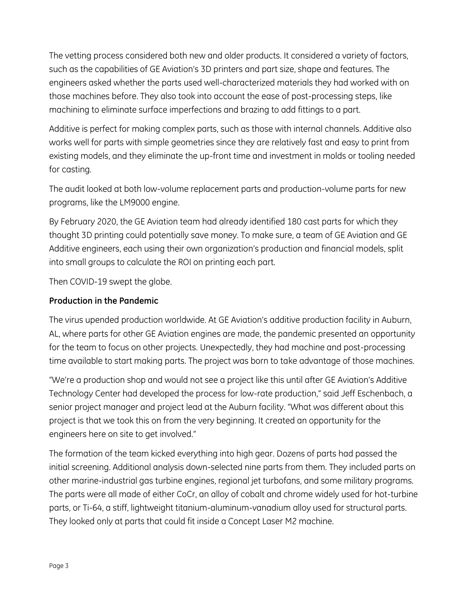The vetting process considered both new and older products. It considered a variety of factors, such as the capabilities of GE Aviation's 3D printers and part size, shape and features. The engineers asked whether the parts used well-characterized materials they had worked with on those machines before. They also took into account the ease of post-processing steps, like machining to eliminate surface imperfections and brazing to add fittings to a part.

Additive is perfect for making complex parts, such as those with internal channels. Additive also works well for parts with simple geometries since they are relatively fast and easy to print from existing models, and they eliminate the up-front time and investment in molds or tooling needed for casting.

The audit looked at both low-volume replacement parts and production-volume parts for new programs, like the LM9000 engine.

By February 2020, the GE Aviation team had already identified 180 cast parts for which they thought 3D printing could potentially save money. To make sure, a team of GE Aviation and GE Additive engineers, each using their own organization's production and financial models, split into small groups to calculate the ROI on printing each part.

Then COVID-19 swept the globe.

### **Production in the Pandemic**

The virus upended production worldwide. At GE Aviation's additive production facility in Auburn, AL, where parts for other GE Aviation engines are made, the pandemic presented an opportunity for the team to focus on other projects. Unexpectedly, they had machine and post-processing time available to start making parts. The project was born to take advantage of those machines.

"We're a production shop and would not see a project like this until after GE Aviation's Additive Technology Center had developed the process for low-rate production," said Jeff Eschenbach, a senior project manager and project lead at the Auburn facility. "What was different about this project is that we took this on from the very beginning. It created an opportunity for the engineers here on site to get involved."

The formation of the team kicked everything into high gear. Dozens of parts had passed the initial screening. Additional analysis down-selected nine parts from them. They included parts on other marine-industrial gas turbine engines, regional jet turbofans, and some military programs. The parts were all made of either CoCr, an alloy of cobalt and chrome widely used for hot-turbine parts, or Ti-64, a stiff, lightweight titanium-aluminum-vanadium alloy used for structural parts. They looked only at parts that could fit inside a Concept Laser M2 machine.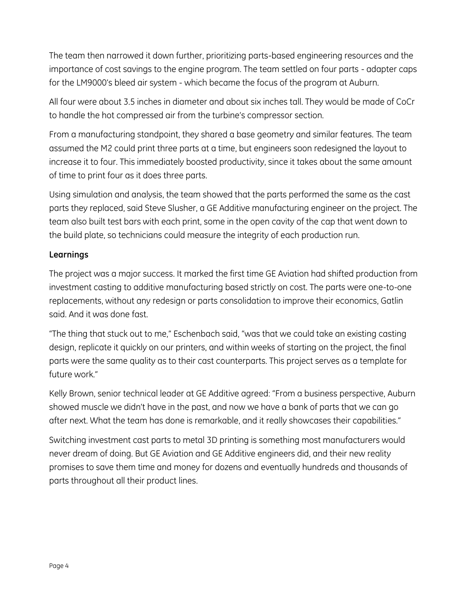The team then narrowed it down further, prioritizing parts-based engineering resources and the importance of cost savings to the engine program. The team settled on four parts - adapter caps for the LM9000's bleed air system - which became the focus of the program at Auburn.

All four were about 3.5 inches in diameter and about six inches tall. They would be made of CoCr to handle the hot compressed air from the turbine's compressor section.

From a manufacturing standpoint, they shared a base geometry and similar features. The team assumed the M2 could print three parts at a time, but engineers soon redesigned the layout to increase it to four. This immediately boosted productivity, since it takes about the same amount of time to print four as it does three parts.

Using simulation and analysis, the team showed that the parts performed the same as the cast parts they replaced, said Steve Slusher, a GE Additive manufacturing engineer on the project. The team also built test bars with each print, some in the open cavity of the cap that went down to the build plate, so technicians could measure the integrity of each production run.

## **Learnings**

The project was a major success. It marked the first time GE Aviation had shifted production from investment casting to additive manufacturing based strictly on cost. The parts were one-to-one replacements, without any redesign or parts consolidation to improve their economics, Gatlin said. And it was done fast.

"The thing that stuck out to me," Eschenbach said, "was that we could take an existing casting design, replicate it quickly on our printers, and within weeks of starting on the project, the final parts were the same quality as to their cast counterparts. This project serves as a template for future work."

Kelly Brown, senior technical leader at GE Additive agreed: "From a business perspective, Auburn showed muscle we didn't have in the past, and now we have a bank of parts that we can go after next. What the team has done is remarkable, and it really showcases their capabilities."

Switching investment cast parts to metal 3D printing is something most manufacturers would never dream of doing. But GE Aviation and GE Additive engineers did, and their new reality promises to save them time and money for dozens and eventually hundreds and thousands of parts throughout all their product lines.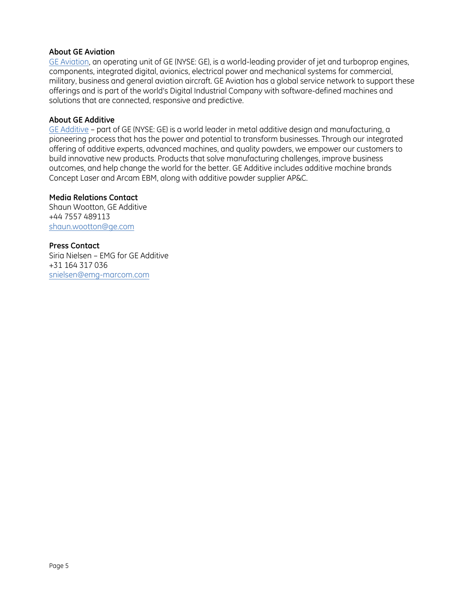#### **About GE Aviation**

[GE Aviation,](http://www.geaviation.com/) an operating unit of GE (NYSE: GE), is a world-leading provider of jet and turboprop engines, components, integrated digital, avionics, electrical power and mechanical systems for commercial, military, business and general aviation aircraft. GE Aviation has a global service network to support these offerings and is part of the world's Digital Industrial Company with software-defined machines and solutions that are connected, responsive and predictive.

#### **About GE Additive**

[GE Additive](http://www.ge.com/additive) – part of GE (NYSE: GE) is a world leader in metal additive design and manufacturing, a pioneering process that has the power and potential to transform businesses. Through our integrated offering of additive experts, advanced machines, and quality powders, we empower our customers to build innovative new products. Products that solve manufacturing challenges, improve business outcomes, and help change the world for the better. GE Additive includes additive machine brands Concept Laser and Arcam EBM, along with additive powder supplier AP&C.

#### **Media Relations Contact**

Shaun Wootton, GE Additive +44 7557 489113 [shaun.wootton@ge.com](mailto:shaun.wootton@ge.com)

#### **Press Contact**

Siria Nielsen – EMG for GE Additive +31 164 317 036 [snielsen@emg-marcom.com](mailto:snielsen@emg-marcom.com)